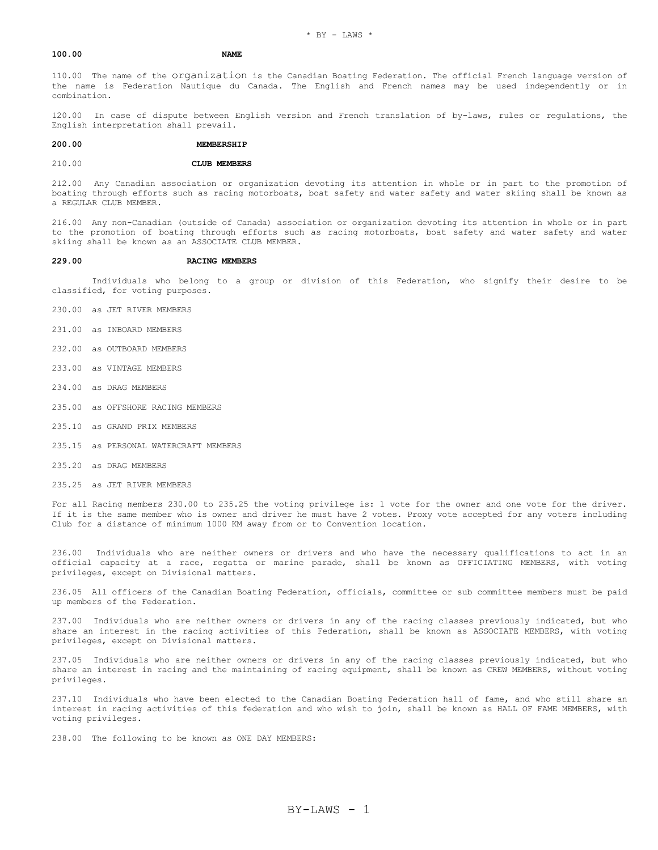## **100.00 NAME**

110.00 The name of the organization is the Canadian Boating Federation. The official French language version of the name is Federation Nautique du Canada. The English and French names may be used independently or in combination.

120.00 In case of dispute between English version and French translation of by-laws, rules or regulations, the English interpretation shall prevail.

#### **200.00 MEMBERSHIP**

#### 210.00 **CLUB MEMBERS**

212.00 Any Canadian association or organization devoting its attention in whole or in part to the promotion of boating through efforts such as racing motorboats, boat safety and water safety and water skiing shall be known as a REGULAR CLUB MEMBER.

216.00 Any non-Canadian (outside of Canada) association or organization devoting its attention in whole or in part to the promotion of boating through efforts such as racing motorboats, boat safety and water safety and water skiing shall be known as an ASSOCIATE CLUB MEMBER.

#### **229.00 RACING MEMBERS**

 Individuals who belong to a group or division of this Federation, who signify their desire to be classified, for voting purposes.

- 230.00 as JET RIVER MEMBERS
- 231.00 as INBOARD MEMBERS
- 232.00 as OUTBOARD MEMBERS
- 233.00 as VINTAGE MEMBERS
- 234.00 as DRAG MEMBERS
- 235.00 as OFFSHORE RACING MEMBERS
- 235.10 as GRAND PRIX MEMBERS
- 235.15 as PERSONAL WATERCRAFT MEMBERS
- 235.20 as DRAG MEMBERS
- 235.25 as JET RIVER MEMBERS

For all Racing members 230.00 to 235.25 the voting privilege is: 1 vote for the owner and one vote for the driver. If it is the same member who is owner and driver he must have 2 votes. Proxy vote accepted for any voters including Club for a distance of minimum 1000 KM away from or to Convention location.

236.00 Individuals who are neither owners or drivers and who have the necessary qualifications to act in an official capacity at a race, regatta or marine parade, shall be known as OFFICIATING MEMBERS, with voting privileges, except on Divisional matters.

236.05 All officers of the Canadian Boating Federation, officials, committee or sub committee members must be paid up members of the Federation.

237.00 Individuals who are neither owners or drivers in any of the racing classes previously indicated, but who share an interest in the racing activities of this Federation, shall be known as ASSOCIATE MEMBERS, with voting privileges, except on Divisional matters.

237.05 Individuals who are neither owners or drivers in any of the racing classes previously indicated, but who share an interest in racing and the maintaining of racing equipment, shall be known as CREW MEMBERS, without voting privileges.

237.10 Individuals who have been elected to the Canadian Boating Federation hall of fame, and who still share an interest in racing activities of this federation and who wish to join, shall be known as HALL OF FAME MEMBERS, with voting privileges.

238.00 The following to be known as ONE DAY MEMBERS: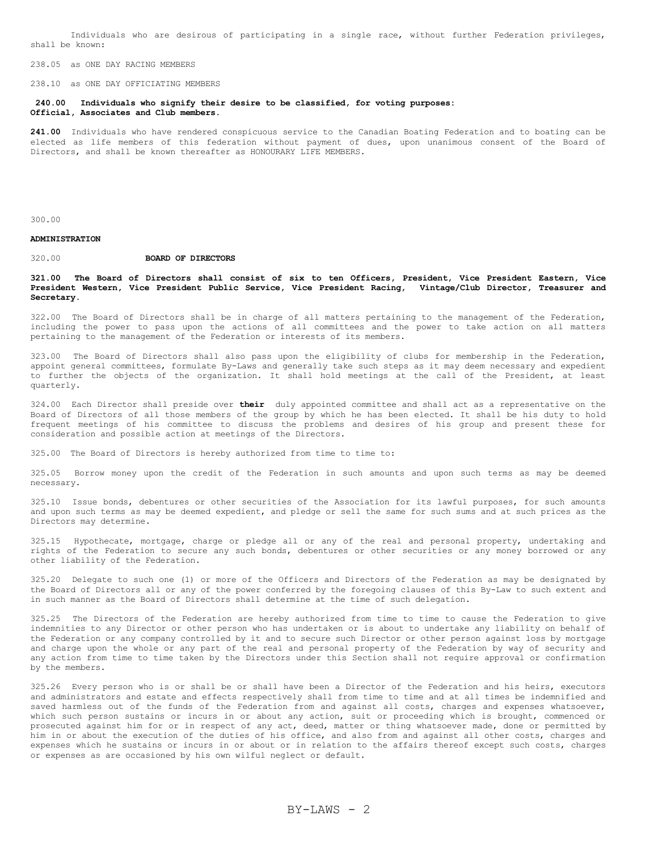Individuals who are desirous of participating in a single race, without further Federation privileges, shall be known:

238.05 as ONE DAY RACING MEMBERS

238.10 as ONE DAY OFFICIATING MEMBERS

**240.00 Individuals who signify their desire to be classified, for voting purposes: Official, Associates and Club members.**

**241.00** Individuals who have rendered conspicuous service to the Canadian Boating Federation and to boating can be elected as life members of this federation without payment of dues, upon unanimous consent of the Board of Directors, and shall be known thereafter as HONOURARY LIFE MEMBERS.

300.00

## **ADMINISTRATION**

### 320.00 **BOARD OF DIRECTORS**

### **321.00 The Board of Directors shall consist of six to ten Officers, President, Vice President Eastern, Vice President Western, Vice President Public Service, Vice President Racing, Vintage/Club Director, Treasurer and Secretary**.

322.00 The Board of Directors shall be in charge of all matters pertaining to the management of the Federation, including the power to pass upon the actions of all committees and the power to take action on all matters pertaining to the management of the Federation or interests of its members.

323.00 The Board of Directors shall also pass upon the eligibility of clubs for membership in the Federation, appoint general committees, formulate By-Laws and generally take such steps as it may deem necessary and expedient to further the objects of the organization. It shall hold meetings at the call of the President, at least quarterly.

324.00 Each Director shall preside over **their** duly appointed committee and shall act as a representative on the Board of Directors of all those members of the group by which he has been elected. It shall be his duty to hold frequent meetings of his committee to discuss the problems and desires of his group and present these for consideration and possible action at meetings of the Directors.

325.00 The Board of Directors is hereby authorized from time to time to:

325.05 Borrow money upon the credit of the Federation in such amounts and upon such terms as may be deemed necessary.

325.10 Issue bonds, debentures or other securities of the Association for its lawful purposes, for such amounts and upon such terms as may be deemed expedient, and pledge or sell the same for such sums and at such prices as the Directors may determine.

325.15 Hypothecate, mortgage, charge or pledge all or any of the real and personal property, undertaking and rights of the Federation to secure any such bonds, debentures or other securities or any money borrowed or any other liability of the Federation.

325.20 Delegate to such one (1) or more of the Officers and Directors of the Federation as may be designated by the Board of Directors all or any of the power conferred by the foregoing clauses of this By-Law to such extent and in such manner as the Board of Directors shall determine at the time of such delegation.

325.25 The Directors of the Federation are hereby authorized from time to time to cause the Federation to give indemnities to any Director or other person who has undertaken or is about to undertake any liability on behalf of the Federation or any company controlled by it and to secure such Director or other person against loss by mortgage and charge upon the whole or any part of the real and personal property of the Federation by way of security and any action from time to time taken by the Directors under this Section shall not require approval or confirmation by the members.

325.26 Every person who is or shall be or shall have been a Director of the Federation and his heirs, executors and administrators and estate and effects respectively shall from time to time and at all times be indemnified and saved harmless out of the funds of the Federation from and against all costs, charges and expenses whatsoever, which such person sustains or incurs in or about any action, suit or proceeding which is brought, commenced or prosecuted against him for or in respect of any act, deed, matter or thing whatsoever made, done or permitted by him in or about the execution of the duties of his office, and also from and against all other costs, charges and expenses which he sustains or incurs in or about or in relation to the affairs thereof except such costs, charges or expenses as are occasioned by his own wilful neglect or default.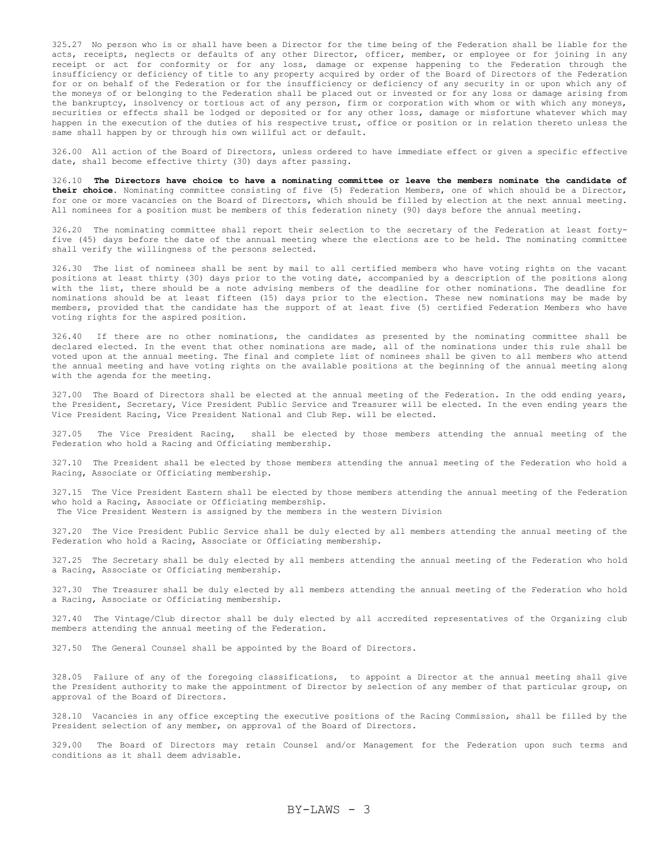325.27 No person who is or shall have been a Director for the time being of the Federation shall be liable for the acts, receipts, neglects or defaults of any other Director, officer, member, or employee or for joining in any receipt or act for conformity or for any loss, damage or expense happening to the Federation through the insufficiency or deficiency of title to any property acquired by order of the Board of Directors of the Federation for or on behalf of the Federation or for the insufficiency or deficiency of any security in or upon which any of the moneys of or belonging to the Federation shall be placed out or invested or for any loss or damage arising from the bankruptcy, insolvency or tortious act of any person, firm or corporation with whom or with which any moneys, securities or effects shall be lodged or deposited or for any other loss, damage or misfortune whatever which may happen in the execution of the duties of his respective trust, office or position or in relation thereto unless the same shall happen by or through his own willful act or default.

326.00 All action of the Board of Directors, unless ordered to have immediate effect or given a specific effective date, shall become effective thirty (30) days after passing.

326.10 **The Directors have choice to have a nominating committee or leave the members nominate the candidate of their choice.** Nominating committee consisting of five (5) Federation Members, one of which should be a Director, for one or more vacancies on the Board of Directors, which should be filled by election at the next annual meeting. All nominees for a position must be members of this federation ninety (90) days before the annual meeting.

326.20 The nominating committee shall report their selection to the secretary of the Federation at least fortyfive (45) days before the date of the annual meeting where the elections are to be held. The nominating committee shall verify the willingness of the persons selected.

326.30 The list of nominees shall be sent by mail to all certified members who have voting rights on the vacant positions at least thirty (30) days prior to the voting date, accompanied by a description of the positions along with the list, there should be a note advising members of the deadline for other nominations. The deadline for nominations should be at least fifteen (15) days prior to the election. These new nominations may be made by members, provided that the candidate has the support of at least five (5) certified Federation Members who have voting rights for the aspired position.

326.40 If there are no other nominations, the candidates as presented by the nominating committee shall be declared elected. In the event that other nominations are made, all of the nominations under this rule shall be voted upon at the annual meeting. The final and complete list of nominees shall be given to all members who attend the annual meeting and have voting rights on the available positions at the beginning of the annual meeting along with the agenda for the meeting.

327.00 The Board of Directors shall be elected at the annual meeting of the Federation. In the odd ending years, the President, Secretary, Vice President Public Service and Treasurer will be elected. In the even ending years the Vice President Racing, Vice President National and Club Rep. will be elected.

327.05 The Vice President Racing, shall be elected by those members attending the annual meeting of the Federation who hold a Racing and Officiating membership.

327.10 The President shall be elected by those members attending the annual meeting of the Federation who hold a Racing, Associate or Officiating membership.

327.15 The Vice President Eastern shall be elected by those members attending the annual meeting of the Federation who hold a Racing, Associate or Officiating membership. The Vice President Western is assigned by the members in the western Division

327.20 The Vice President Public Service shall be duly elected by all members attending the annual meeting of the Federation who hold a Racing, Associate or Officiating membership.

327.25 The Secretary shall be duly elected by all members attending the annual meeting of the Federation who hold a Racing, Associate or Officiating membership.

327.30 The Treasurer shall be duly elected by all members attending the annual meeting of the Federation who hold a Racing, Associate or Officiating membership.

327.40 The Vintage/Club director shall be duly elected by all accredited representatives of the Organizing club members attending the annual meeting of the Federation.

327.50 The General Counsel shall be appointed by the Board of Directors.

328.05 Failure of any of the foregoing classifications, to appoint a Director at the annual meeting shall give the President authority to make the appointment of Director by selection of any member of that particular group, on approval of the Board of Directors.

328.10 Vacancies in any office excepting the executive positions of the Racing Commission, shall be filled by the President selection of any member, on approval of the Board of Directors.

329.00 The Board of Directors may retain Counsel and/or Management for the Federation upon such terms and conditions as it shall deem advisable.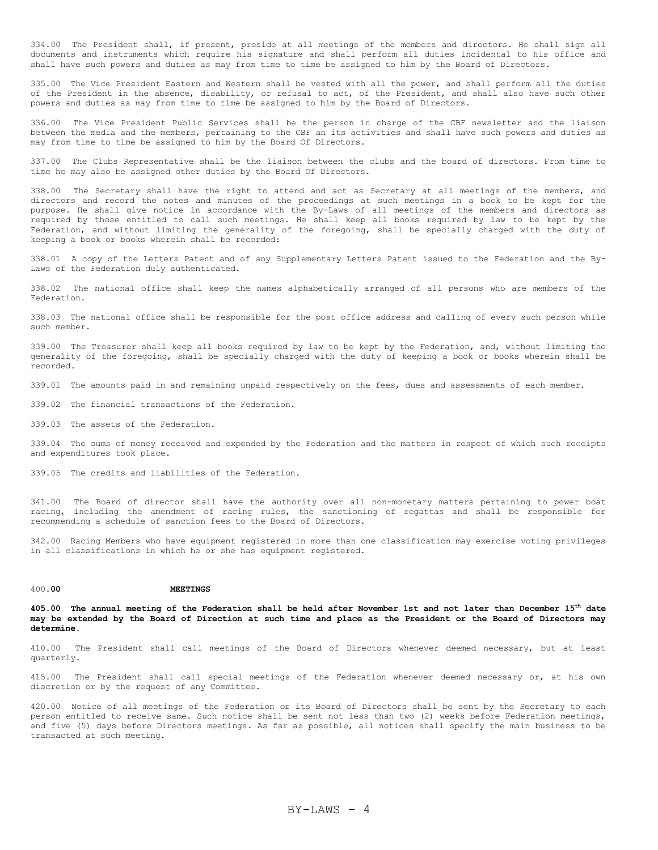334.00 The President shall, if present, preside at all meetings of the members and directors. He shall sign all documents and instruments which require his signature and shall perform all duties incidental to his office and shall have such powers and duties as may from time to time be assigned to him by the Board of Directors.

335.00 The Vice President Eastern and Western shall be vested with all the power, and shall perform all the duties of the President in the absence, disability, or refusal to act, of the President, and shall also have such other powers and duties as may from time to time be assigned to him by the Board of Directors.

336.00 The Vice President Public Services shall be the person in charge of the CBF newsletter and the liaison between the media and the members, pertaining to the CBF an its activities and shall have such powers and duties as may from time to time be assigned to him by the Board Of Directors.

337.00 The Clubs Representative shall be the liaison between the clubs and the board of directors. From time to time he may also be assigned other duties by the Board Of Directors.

338.00 The Secretary shall have the right to attend and act as Secretary at all meetings of the members, and directors and record the notes and minutes of the proceedings at such meetings in a book to be kept for the purpose. He shall give notice in accordance with the By-Laws of all meetings of the members and directors as required by those entitled to call such meetings. He shall keep all books required by law to be kept by the Federation, and without limiting the generality of the foregoing, shall be specially charged with the duty of keeping a book or books wherein shall be recorded:

338.01 A copy of the Letters Patent and of any Supplementary Letters Patent issued to the Federation and the By-Laws of the Federation duly authenticated.

338.02 The national office shall keep the names alphabetically arranged of all persons who are members of the Federation.

338.03 The national office shall be responsible for the post office address and calling of every such person while such member.

339.00 The Treasurer shall keep all books required by law to be kept by the Federation, and, without limiting the generality of the foregoing, shall be specially charged with the duty of keeping a book or books wherein shall be recorded.

339.01 The amounts paid in and remaining unpaid respectively on the fees, dues and assessments of each member.

339.02 The financial transactions of the Federation.

339.03 The assets of the Federation.

339.04 The sums of money received and expended by the Federation and the matters in respect of which such receipts and expenditures took place.

339.05 The credits and liabilities of the Federation.

341.00 The Board of director shall have the authority over all non-monetary matters pertaining to power boat racing, including the amendment of racing rules, the sanctioning of regattas and shall be responsible for recommending a schedule of sanction fees to the Board of Directors.

342.00 Racing Members who have equipment registered in more than one classification may exercise voting privileges in all classifications in which he or she has equipment registered.

### 400.**00 MEETINGS**

**405.00 The annual meeting of the Federation shall be held after November 1st and not later than December 15th date may be extended by the Board of Direction at such time and place as the President or the Board of Directors may determine.**

410.00 The President shall call meetings of the Board of Directors whenever deemed necessary, but at least quarterly.

415.00 The President shall call special meetings of the Federation whenever deemed necessary or, at his own discretion or by the request of any Committee.

420.00 Notice of all meetings of the Federation or its Board of Directors shall be sent by the Secretary to each person entitled to receive same. Such notice shall be sent not less than two (2) weeks before Federation meetings, and five (5) days before Directors meetings. As far as possible, all notices shall specify the main business to be transacted at such meeting.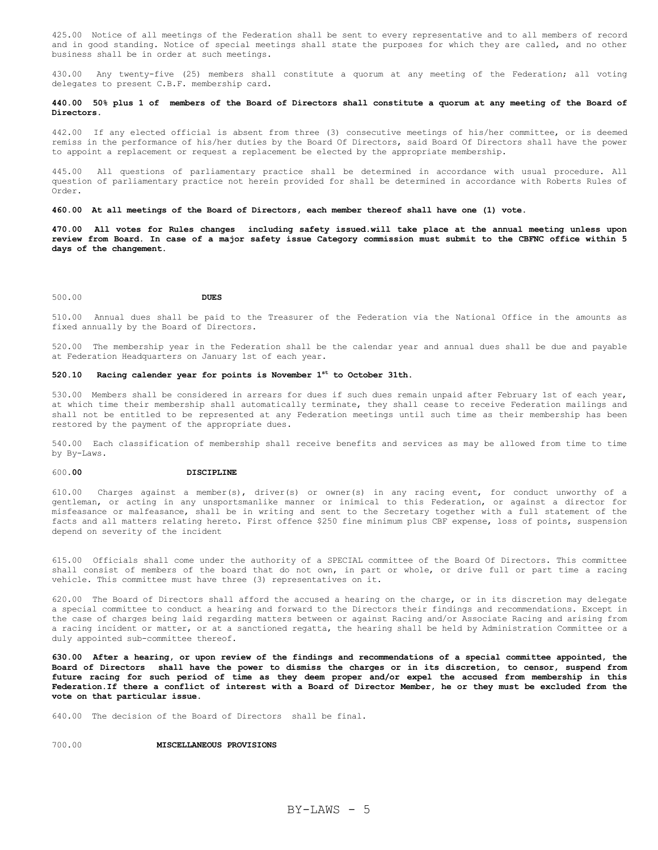425.00 Notice of all meetings of the Federation shall be sent to every representative and to all members of record and in good standing. Notice of special meetings shall state the purposes for which they are called, and no other business shall be in order at such meetings.

430.00 Any twenty-five (25) members shall constitute a quorum at any meeting of the Federation; all voting delegates to present C.B.F. membership card.

## **440.00 50% plus 1 of members of the Board of Directors shall constitute a quorum at any meeting of the Board of Directors.**

442.00 If any elected official is absent from three (3) consecutive meetings of his/her committee, or is deemed remiss in the performance of his/her duties by the Board Of Directors, said Board Of Directors shall have the power to appoint a replacement or request a replacement be elected by the appropriate membership.

445.00 All questions of parliamentary practice shall be determined in accordance with usual procedure. All question of parliamentary practice not herein provided for shall be determined in accordance with Roberts Rules of Order.

#### **460.00 At all meetings of the Board of Directors, each member thereof shall have one (1) vote.**

**470.00 All votes for Rules changes including safety issued.will take place at the annual meeting unless upon review from Board. In case of a major safety issue Category commission must submit to the CBFNC office within 5 days of the changement.**

### 500.00 **DUES**

510.00 Annual dues shall be paid to the Treasurer of the Federation via the National Office in the amounts as fixed annually by the Board of Directors.

520.00 The membership year in the Federation shall be the calendar year and annual dues shall be due and payable at Federation Headquarters on January 1st of each year.

# **520.10 Racing calender year for points is November 1st to October 31th.**

530.00 Members shall be considered in arrears for dues if such dues remain unpaid after February 1st of each year, at which time their membership shall automatically terminate, they shall cease to receive Federation mailings and shall not be entitled to be represented at any Federation meetings until such time as their membership has been restored by the payment of the appropriate dues.

540.00 Each classification of membership shall receive benefits and services as may be allowed from time to time by By-Laws.

### 600.**00 DISCIPLINE**

610.00 Charges against a member(s), driver(s) or owner(s) in any racing event, for conduct unworthy of a gentleman, or acting in any unsportsmanlike manner or inimical to this Federation, or against a director for misfeasance or malfeasance, shall be in writing and sent to the Secretary together with a full statement of the facts and all matters relating hereto. First offence \$250 fine minimum plus CBF expense, loss of points, suspension depend on severity of the incident

615.00 Officials shall come under the authority of a SPECIAL committee of the Board Of Directors. This committee shall consist of members of the board that do not own, in part or whole, or drive full or part time a racing vehicle. This committee must have three (3) representatives on it.

620.00 The Board of Directors shall afford the accused a hearing on the charge, or in its discretion may delegate a special committee to conduct a hearing and forward to the Directors their findings and recommendations. Except in the case of charges being laid regarding matters between or against Racing and/or Associate Racing and arising from a racing incident or matter, or at a sanctioned regatta, the hearing shall be held by Administration Committee or a duly appointed sub-committee thereof.

**630.00 After a hearing, or upon review of the findings and recommendations of a special committee appointed, the Board of Directors shall have the power to dismiss the charges or in its discretion, to censor, suspend from future racing for such period of time as they deem proper and/or expel the accused from membership in this Federation.If there a conflict of interest with a Board of Director Member, he or they must be excluded from the vote on that particular issue.** 

640.00 The decision of the Board of Directors shall be final.

## 700.00 **MISCELLANEOUS PROVISIONS**